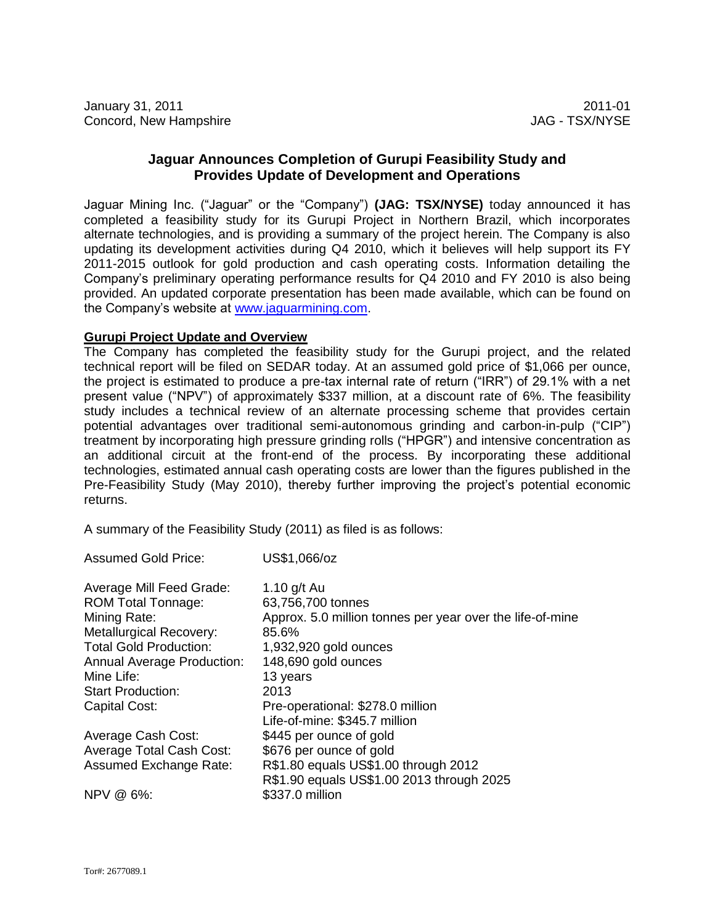# **Jaguar Announces Completion of Gurupi Feasibility Study and Provides Update of Development and Operations**

Jaguar Mining Inc. ("Jaguar" or the "Company") **(JAG: TSX/NYSE)** today announced it has completed a feasibility study for its Gurupi Project in Northern Brazil, which incorporates alternate technologies, and is providing a summary of the project herein. The Company is also updating its development activities during Q4 2010, which it believes will help support its FY 2011-2015 outlook for gold production and cash operating costs. Information detailing the Company's preliminary operating performance results for Q4 2010 and FY 2010 is also being provided. An updated corporate presentation has been made available, which can be found on the Company's website at [www.jaguarmining.com.](http://www.jaguarmining.com/)

## **Gurupi Project Update and Overview**

Assumed Gold Price: US\$1,066/oz

The Company has completed the feasibility study for the Gurupi project, and the related technical report will be filed on SEDAR today. At an assumed gold price of \$1,066 per ounce, the project is estimated to produce a pre-tax internal rate of return ("IRR") of 29.1% with a net present value ("NPV") of approximately \$337 million, at a discount rate of 6%. The feasibility study includes a technical review of an alternate processing scheme that provides certain potential advantages over traditional semi-autonomous grinding and carbon-in-pulp ("CIP") treatment by incorporating high pressure grinding rolls ("HPGR") and intensive concentration as an additional circuit at the front-end of the process. By incorporating these additional technologies, estimated annual cash operating costs are lower than the figures published in the Pre-Feasibility Study (May 2010), thereby further improving the project's potential economic returns.

A summary of the Feasibility Study (2011) as filed is as follows:

| ASSUITICU QUIU FIIUC.             | <b>OODI,IOUUL</b>                                         |
|-----------------------------------|-----------------------------------------------------------|
| Average Mill Feed Grade:          | 1.10 g/t Au                                               |
| <b>ROM Total Tonnage:</b>         | 63,756,700 tonnes                                         |
| Mining Rate:                      | Approx. 5.0 million tonnes per year over the life-of-mine |
| <b>Metallurgical Recovery:</b>    | 85.6%                                                     |
| <b>Total Gold Production:</b>     | 1,932,920 gold ounces                                     |
| <b>Annual Average Production:</b> | 148,690 gold ounces                                       |
| Mine Life:                        | 13 years                                                  |
| <b>Start Production:</b>          | 2013                                                      |
| Capital Cost:                     | Pre-operational: \$278.0 million                          |
|                                   | Life-of-mine: \$345.7 million                             |
| Average Cash Cost:                | \$445 per ounce of gold                                   |
| Average Total Cash Cost:          | \$676 per ounce of gold                                   |
| <b>Assumed Exchange Rate:</b>     | R\$1.80 equals US\$1.00 through 2012                      |
|                                   | R\$1.90 equals US\$1.00 2013 through 2025                 |
| NPV @ 6%:                         | \$337.0 million                                           |
|                                   |                                                           |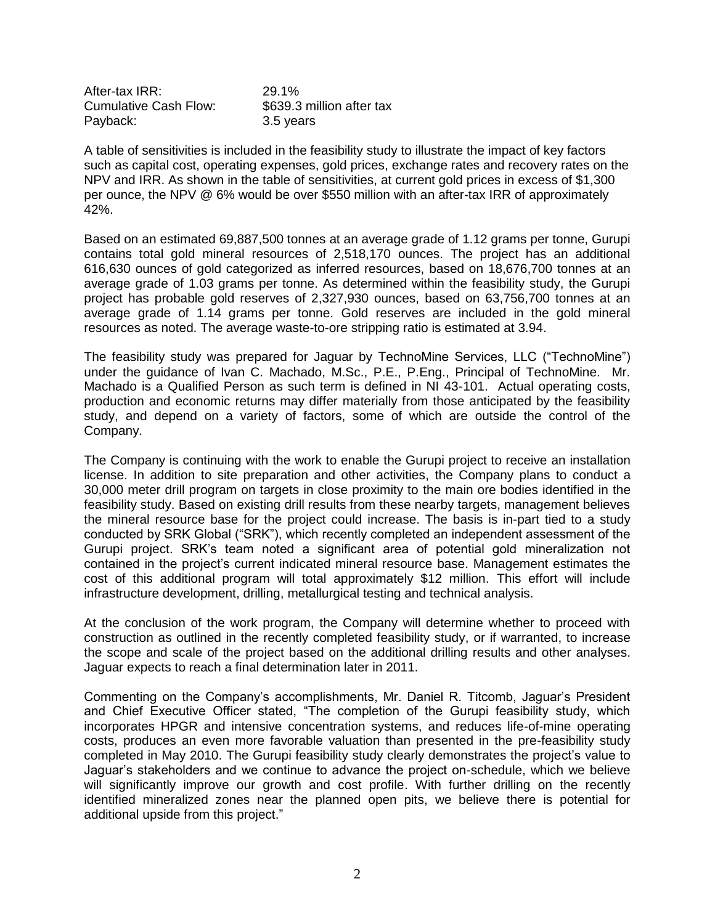After-tax IRR: 29.1% Cumulative Cash Flow: \$639.3 million after tax Payback: 3.5 years

A table of sensitivities is included in the feasibility study to illustrate the impact of key factors such as capital cost, operating expenses, gold prices, exchange rates and recovery rates on the NPV and IRR. As shown in the table of sensitivities, at current gold prices in excess of \$1,300 per ounce, the NPV @ 6% would be over \$550 million with an after-tax IRR of approximately 42%.

Based on an estimated 69,887,500 tonnes at an average grade of 1.12 grams per tonne, Gurupi contains total gold mineral resources of 2,518,170 ounces. The project has an additional 616,630 ounces of gold categorized as inferred resources, based on 18,676,700 tonnes at an average grade of 1.03 grams per tonne. As determined within the feasibility study, the Gurupi project has probable gold reserves of 2,327,930 ounces, based on 63,756,700 tonnes at an average grade of 1.14 grams per tonne. Gold reserves are included in the gold mineral resources as noted. The average waste-to-ore stripping ratio is estimated at 3.94.

The feasibility study was prepared for Jaguar by TechnoMine Services, LLC ("TechnoMine") under the guidance of Ivan C. Machado, M.Sc., P.E., P.Eng., Principal of TechnoMine. Mr. Machado is a Qualified Person as such term is defined in NI 43-101. Actual operating costs, production and economic returns may differ materially from those anticipated by the feasibility study, and depend on a variety of factors, some of which are outside the control of the Company.

The Company is continuing with the work to enable the Gurupi project to receive an installation license. In addition to site preparation and other activities, the Company plans to conduct a 30,000 meter drill program on targets in close proximity to the main ore bodies identified in the feasibility study. Based on existing drill results from these nearby targets, management believes the mineral resource base for the project could increase. The basis is in-part tied to a study conducted by SRK Global ("SRK"), which recently completed an independent assessment of the Gurupi project. SRK's team noted a significant area of potential gold mineralization not contained in the project's current indicated mineral resource base. Management estimates the cost of this additional program will total approximately \$12 million. This effort will include infrastructure development, drilling, metallurgical testing and technical analysis.

At the conclusion of the work program, the Company will determine whether to proceed with construction as outlined in the recently completed feasibility study, or if warranted, to increase the scope and scale of the project based on the additional drilling results and other analyses. Jaguar expects to reach a final determination later in 2011.

Commenting on the Company's accomplishments, Mr. Daniel R. Titcomb, Jaguar's President and Chief Executive Officer stated, "The completion of the Gurupi feasibility study, which incorporates HPGR and intensive concentration systems, and reduces life-of-mine operating costs, produces an even more favorable valuation than presented in the pre-feasibility study completed in May 2010. The Gurupi feasibility study clearly demonstrates the project's value to Jaguar's stakeholders and we continue to advance the project on-schedule, which we believe will significantly improve our growth and cost profile. With further drilling on the recently identified mineralized zones near the planned open pits, we believe there is potential for additional upside from this project."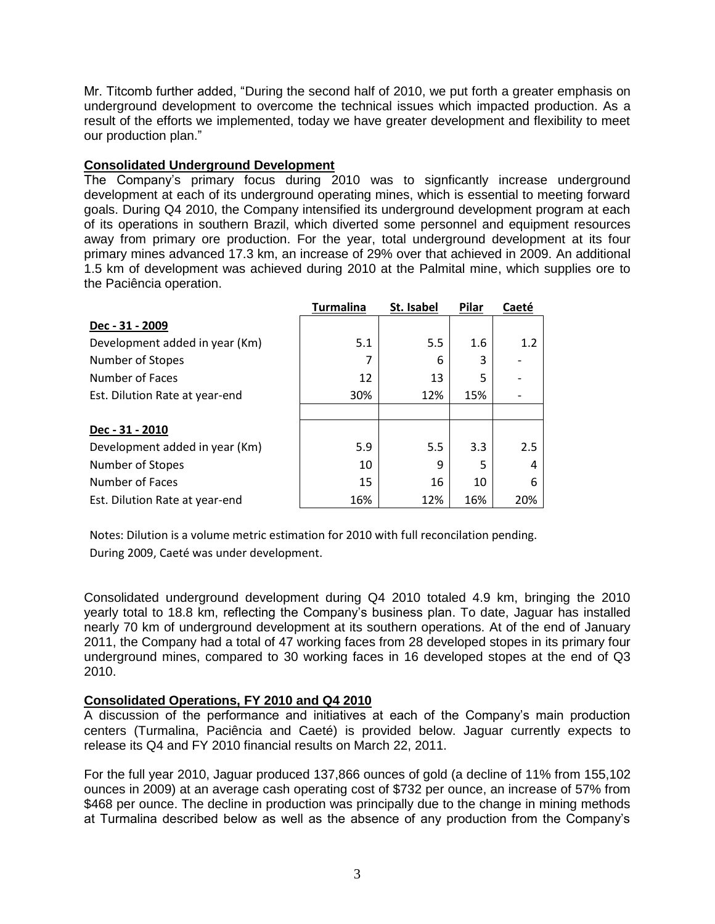Mr. Titcomb further added, "During the second half of 2010, we put forth a greater emphasis on underground development to overcome the technical issues which impacted production. As a result of the efforts we implemented, today we have greater development and flexibility to meet our production plan."

# **Consolidated Underground Development**

The Company's primary focus during 2010 was to signficantly increase underground development at each of its underground operating mines, which is essential to meeting forward goals. During Q4 2010, the Company intensified its underground development program at each of its operations in southern Brazil, which diverted some personnel and equipment resources away from primary ore production. For the year, total underground development at its four primary mines advanced 17.3 km, an increase of 29% over that achieved in 2009. An additional 1.5 km of development was achieved during 2010 at the Palmital mine, which supplies ore to the Paciência operation.

|                                | <b>Turmalina</b> | St. Isabel | Pilar | Caeté |
|--------------------------------|------------------|------------|-------|-------|
| Dec - 31 - 2009                |                  |            |       |       |
| Development added in year (Km) | 5.1              | 5.5        | 1.6   | 1.2   |
| Number of Stopes               | 7                | 6          | 3     |       |
| Number of Faces                | 12               | 13         | 5     |       |
| Est. Dilution Rate at year-end | 30%              | 12%        | 15%   |       |
|                                |                  |            |       |       |
| Dec - 31 - 2010                |                  |            |       |       |
| Development added in year (Km) | 5.9              | 5.5        | 3.3   | 2.5   |
| Number of Stopes               | 10               | 9          | 5     |       |
| Number of Faces                | 15               | 16         | 10    | 6     |
| Est. Dilution Rate at year-end | 16%              | 12%        | 16%   | 20%   |

Notes: Dilution is a volume metric estimation for 2010 with full reconcilation pending. During 2009, Caeté was under development.

Consolidated underground development during Q4 2010 totaled 4.9 km, bringing the 2010 yearly total to 18.8 km, reflecting the Company's business plan. To date, Jaguar has installed nearly 70 km of underground development at its southern operations. At of the end of January 2011, the Company had a total of 47 working faces from 28 developed stopes in its primary four underground mines, compared to 30 working faces in 16 developed stopes at the end of Q3 2010.

### **Consolidated Operations, FY 2010 and Q4 2010**

A discussion of the performance and initiatives at each of the Company's main production centers (Turmalina, Paciência and Caeté) is provided below. Jaguar currently expects to release its Q4 and FY 2010 financial results on March 22, 2011.

For the full year 2010, Jaguar produced 137,866 ounces of gold (a decline of 11% from 155,102 ounces in 2009) at an average cash operating cost of \$732 per ounce, an increase of 57% from \$468 per ounce. The decline in production was principally due to the change in mining methods at Turmalina described below as well as the absence of any production from the Company's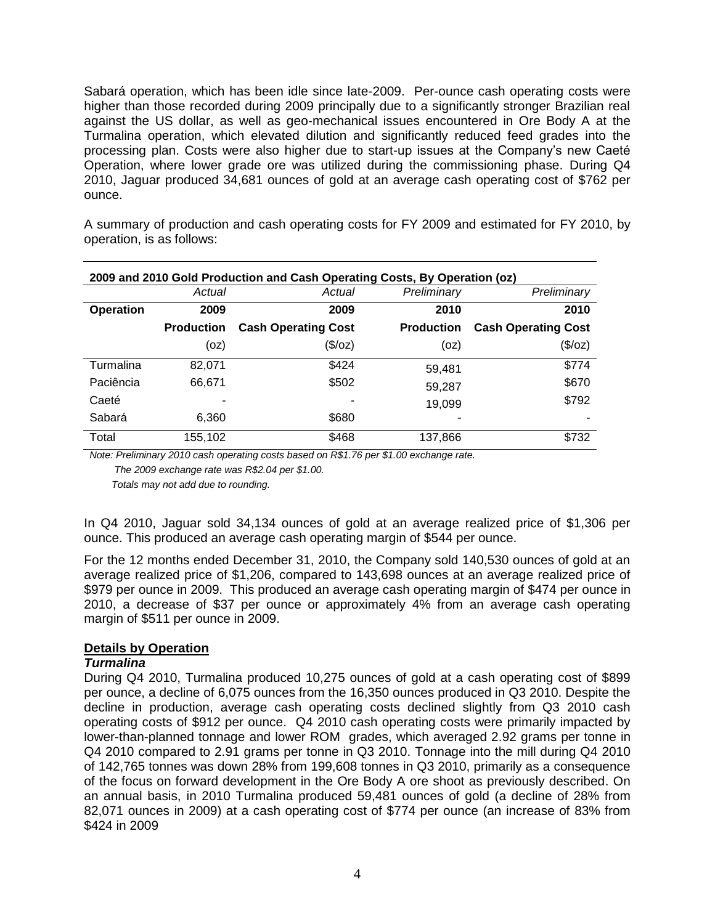Sabará operation, which has been idle since late-2009. Per-ounce cash operating costs were higher than those recorded during 2009 principally due to a significantly stronger Brazilian real against the US dollar, as well as geo-mechanical issues encountered in Ore Body A at the Turmalina operation, which elevated dilution and significantly reduced feed grades into the processing plan. Costs were also higher due to start-up issues at the Company's new Caeté Operation, where lower grade ore was utilized during the commissioning phase. During Q4 2010, Jaguar produced 34,681 ounces of gold at an average cash operating cost of \$762 per ounce.

A summary of production and cash operating costs for FY 2009 and estimated for FY 2010, by operation, is as follows:

| 2009 and 2010 Gold Production and Cash Operating Costs, By Operation (oz) |                   |                            |                   |                            |  |  |  |  |  |
|---------------------------------------------------------------------------|-------------------|----------------------------|-------------------|----------------------------|--|--|--|--|--|
|                                                                           | Actual            | Actual                     | Preliminary       | Preliminary                |  |  |  |  |  |
| <b>Operation</b>                                                          | 2009              | 2009                       | 2010              | 2010                       |  |  |  |  |  |
|                                                                           | <b>Production</b> | <b>Cash Operating Cost</b> | <b>Production</b> | <b>Cash Operating Cost</b> |  |  |  |  |  |
|                                                                           | (oz)              | (\$/oz)                    | (oz)              | (\$/oz)                    |  |  |  |  |  |
| Turmalina                                                                 | 82,071            | \$424                      | 59,481            | \$774                      |  |  |  |  |  |
| Paciência                                                                 | 66,671            | \$502                      | 59,287            | \$670                      |  |  |  |  |  |
| Caeté                                                                     |                   |                            | 19,099            | \$792                      |  |  |  |  |  |
| Sabará                                                                    | 6,360             | \$680                      |                   |                            |  |  |  |  |  |
| Total                                                                     | 155,102           | \$468                      | 137,866           | \$732                      |  |  |  |  |  |

*Note: Preliminary 2010 cash operating costs based on R\$1.76 per \$1.00 exchange rate.* 

 *The 2009 exchange rate was R\$2.04 per \$1.00.*

 *Totals may not add due to rounding.*

In Q4 2010, Jaguar sold 34,134 ounces of gold at an average realized price of \$1,306 per ounce. This produced an average cash operating margin of \$544 per ounce.

For the 12 months ended December 31, 2010, the Company sold 140,530 ounces of gold at an average realized price of \$1,206, compared to 143,698 ounces at an average realized price of \$979 per ounce in 2009. This produced an average cash operating margin of \$474 per ounce in 2010, a decrease of \$37 per ounce or approximately 4% from an average cash operating margin of \$511 per ounce in 2009.

# **Details by Operation**

### *Turmalina*

During Q4 2010, Turmalina produced 10,275 ounces of gold at a cash operating cost of \$899 per ounce, a decline of 6,075 ounces from the 16,350 ounces produced in Q3 2010. Despite the decline in production, average cash operating costs declined slightly from Q3 2010 cash operating costs of \$912 per ounce. Q4 2010 cash operating costs were primarily impacted by lower-than-planned tonnage and lower ROM grades, which averaged 2.92 grams per tonne in Q4 2010 compared to 2.91 grams per tonne in Q3 2010. Tonnage into the mill during Q4 2010 of 142,765 tonnes was down 28% from 199,608 tonnes in Q3 2010, primarily as a consequence of the focus on forward development in the Ore Body A ore shoot as previously described. On an annual basis, in 2010 Turmalina produced 59,481 ounces of gold (a decline of 28% from 82,071 ounces in 2009) at a cash operating cost of \$774 per ounce (an increase of 83% from \$424 in 2009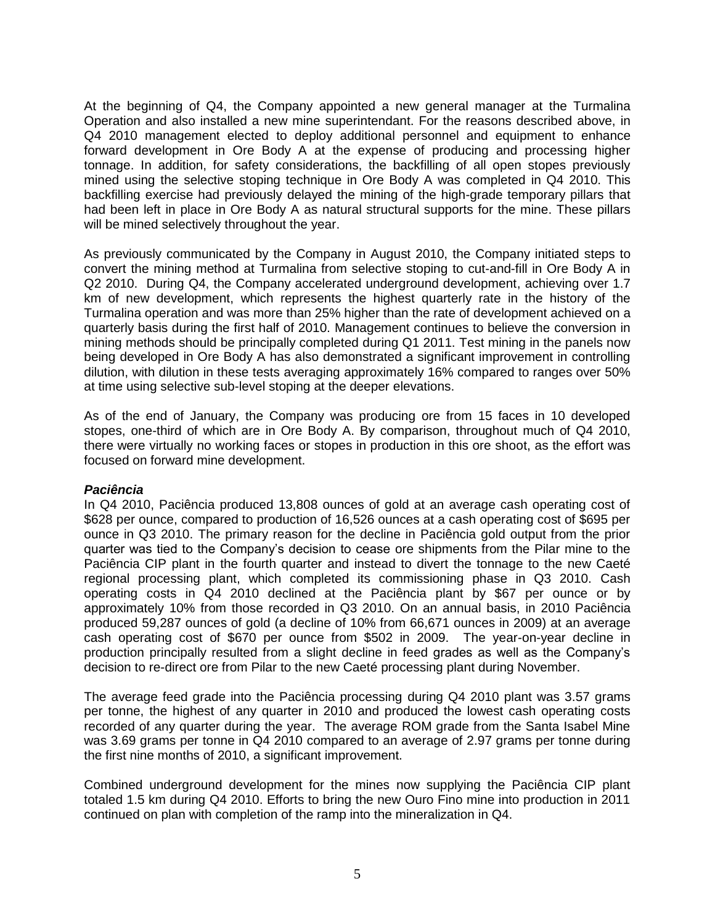At the beginning of Q4, the Company appointed a new general manager at the Turmalina Operation and also installed a new mine superintendant. For the reasons described above, in Q4 2010 management elected to deploy additional personnel and equipment to enhance forward development in Ore Body A at the expense of producing and processing higher tonnage. In addition, for safety considerations, the backfilling of all open stopes previously mined using the selective stoping technique in Ore Body A was completed in Q4 2010. This backfilling exercise had previously delayed the mining of the high-grade temporary pillars that had been left in place in Ore Body A as natural structural supports for the mine. These pillars will be mined selectively throughout the year.

As previously communicated by the Company in August 2010, the Company initiated steps to convert the mining method at Turmalina from selective stoping to cut-and-fill in Ore Body A in Q2 2010. During Q4, the Company accelerated underground development, achieving over 1.7 km of new development, which represents the highest quarterly rate in the history of the Turmalina operation and was more than 25% higher than the rate of development achieved on a quarterly basis during the first half of 2010. Management continues to believe the conversion in mining methods should be principally completed during Q1 2011. Test mining in the panels now being developed in Ore Body A has also demonstrated a significant improvement in controlling dilution, with dilution in these tests averaging approximately 16% compared to ranges over 50% at time using selective sub-level stoping at the deeper elevations.

As of the end of January, the Company was producing ore from 15 faces in 10 developed stopes, one-third of which are in Ore Body A. By comparison, throughout much of Q4 2010, there were virtually no working faces or stopes in production in this ore shoot, as the effort was focused on forward mine development.

### *Paciência*

In Q4 2010, Paciência produced 13,808 ounces of gold at an average cash operating cost of \$628 per ounce, compared to production of 16,526 ounces at a cash operating cost of \$695 per ounce in Q3 2010. The primary reason for the decline in Paciência gold output from the prior quarter was tied to the Company's decision to cease ore shipments from the Pilar mine to the Paciência CIP plant in the fourth quarter and instead to divert the tonnage to the new Caeté regional processing plant, which completed its commissioning phase in Q3 2010. Cash operating costs in Q4 2010 declined at the Paciência plant by \$67 per ounce or by approximately 10% from those recorded in Q3 2010. On an annual basis, in 2010 Paciência produced 59,287 ounces of gold (a decline of 10% from 66,671 ounces in 2009) at an average cash operating cost of \$670 per ounce from \$502 in 2009. The year-on-year decline in production principally resulted from a slight decline in feed grades as well as the Company's decision to re-direct ore from Pilar to the new Caeté processing plant during November.

The average feed grade into the Paciência processing during Q4 2010 plant was 3.57 grams per tonne, the highest of any quarter in 2010 and produced the lowest cash operating costs recorded of any quarter during the year. The average ROM grade from the Santa Isabel Mine was 3.69 grams per tonne in Q4 2010 compared to an average of 2.97 grams per tonne during the first nine months of 2010, a significant improvement.

Combined underground development for the mines now supplying the Paciência CIP plant totaled 1.5 km during Q4 2010. Efforts to bring the new Ouro Fino mine into production in 2011 continued on plan with completion of the ramp into the mineralization in Q4.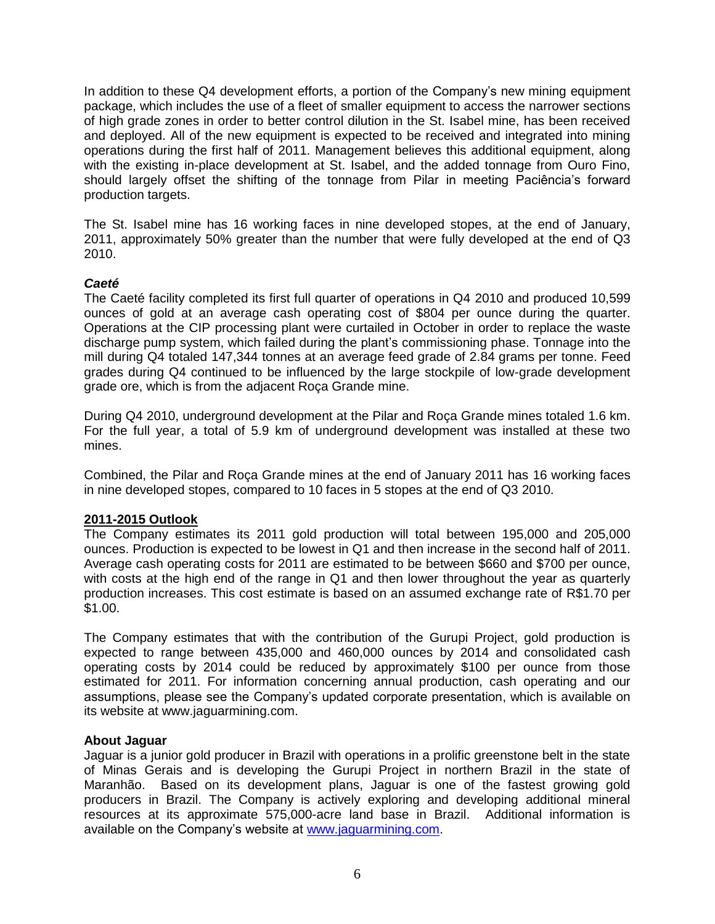In addition to these Q4 development efforts, a portion of the Company's new mining equipment package, which includes the use of a fleet of smaller equipment to access the narrower sections of high grade zones in order to better control dilution in the St. Isabel mine, has been received and deployed. All of the new equipment is expected to be received and integrated into mining operations during the first half of 2011. Management believes this additional equipment, along with the existing in-place development at St. Isabel, and the added tonnage from Ouro Fino, should largely offset the shifting of the tonnage from Pilar in meeting Paciência's forward production targets.

The St. Isabel mine has 16 working faces in nine developed stopes, at the end of January, 2011, approximately 50% greater than the number that were fully developed at the end of Q3 2010.

# *Caeté*

The Caeté facility completed its first full quarter of operations in Q4 2010 and produced 10,599 ounces of gold at an average cash operating cost of \$804 per ounce during the quarter. Operations at the CIP processing plant were curtailed in October in order to replace the waste discharge pump system, which failed during the plant's commissioning phase. Tonnage into the mill during Q4 totaled 147,344 tonnes at an average feed grade of 2.84 grams per tonne. Feed grades during Q4 continued to be influenced by the large stockpile of low-grade development grade ore, which is from the adjacent Roça Grande mine.

During Q4 2010, underground development at the Pilar and Roça Grande mines totaled 1.6 km. For the full year, a total of 5.9 km of underground development was installed at these two mines.

Combined, the Pilar and Roça Grande mines at the end of January 2011 has 16 working faces in nine developed stopes, compared to 10 faces in 5 stopes at the end of Q3 2010.

### **2011-2015 Outlook**

The Company estimates its 2011 gold production will total between 195,000 and 205,000 ounces. Production is expected to be lowest in Q1 and then increase in the second half of 2011. Average cash operating costs for 2011 are estimated to be between \$660 and \$700 per ounce, with costs at the high end of the range in Q1 and then lower throughout the year as quarterly production increases. This cost estimate is based on an assumed exchange rate of R\$1.70 per \$1.00.

The Company estimates that with the contribution of the Gurupi Project, gold production is expected to range between 435,000 and 460,000 ounces by 2014 and consolidated cash operating costs by 2014 could be reduced by approximately \$100 per ounce from those estimated for 2011. For information concerning annual production, cash operating and our assumptions, please see the Company's updated corporate presentation, which is available on its website at www.jaguarmining.com.

### **About Jaguar**

Jaguar is a junior gold producer in Brazil with operations in a prolific greenstone belt in the state of Minas Gerais and is developing the Gurupi Project in northern Brazil in the state of Maranhão. Based on its development plans, Jaguar is one of the fastest growing gold producers in Brazil. The Company is actively exploring and developing additional mineral resources at its approximate 575,000-acre land base in Brazil. Additional information is available on the Company's website at [www.jaguarmining.com.](http://www.jaguarmining.com/)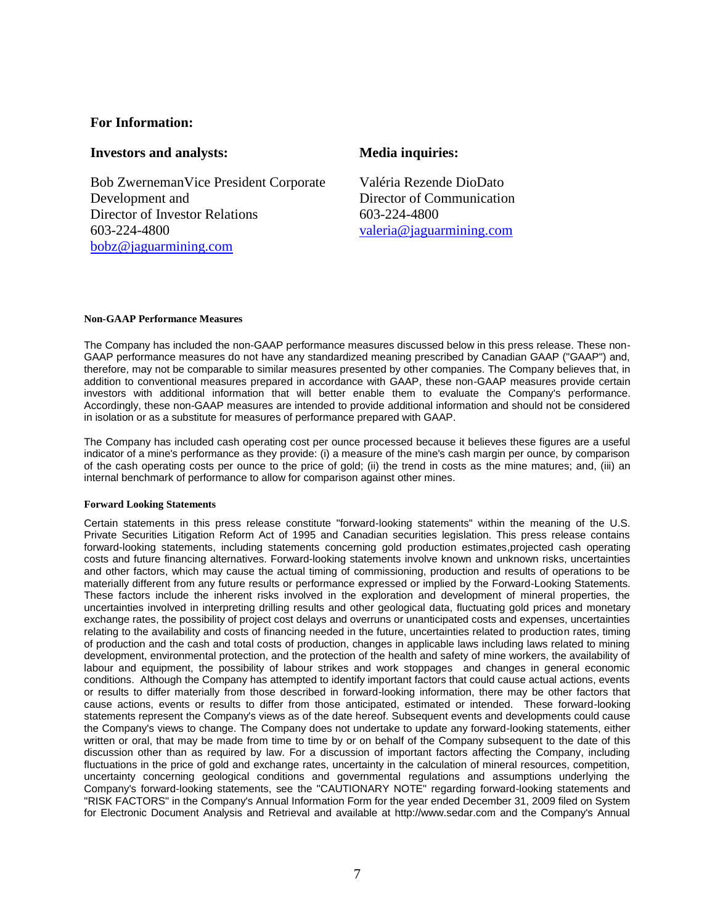## **For Information:**

#### **Investors and analysts: Media inquiries:**

Bob ZwernemanVice President Corporate Development and Director of Investor Relations 603-224-4800 [bobz@jaguarmining.com](mailto:bobz@jaguarmining.com)

Valéria Rezende DioDato Director of Communication 603-224-4800 [valeria@jaguarmining.com](mailto:valeria@jaguarmining.com)

#### **Non-GAAP Performance Measures**

The Company has included the non-GAAP performance measures discussed below in this press release. These non-GAAP performance measures do not have any standardized meaning prescribed by Canadian GAAP ("GAAP") and, therefore, may not be comparable to similar measures presented by other companies. The Company believes that, in addition to conventional measures prepared in accordance with GAAP, these non-GAAP measures provide certain investors with additional information that will better enable them to evaluate the Company's performance. Accordingly, these non-GAAP measures are intended to provide additional information and should not be considered in isolation or as a substitute for measures of performance prepared with GAAP.

The Company has included cash operating cost per ounce processed because it believes these figures are a useful indicator of a mine's performance as they provide: (i) a measure of the mine's cash margin per ounce, by comparison of the cash operating costs per ounce to the price of gold; (ii) the trend in costs as the mine matures; and, (iii) an internal benchmark of performance to allow for comparison against other mines.

#### **Forward Looking Statements**

Certain statements in this press release constitute "forward-looking statements" within the meaning of the U.S. Private Securities Litigation Reform Act of 1995 and Canadian securities legislation. This press release contains forward-looking statements, including statements concerning gold production estimates,projected cash operating costs and future financing alternatives. Forward-looking statements involve known and unknown risks, uncertainties and other factors, which may cause the actual timing of commissioning, production and results of operations to be materially different from any future results or performance expressed or implied by the Forward-Looking Statements. These factors include the inherent risks involved in the exploration and development of mineral properties, the uncertainties involved in interpreting drilling results and other geological data, fluctuating gold prices and monetary exchange rates, the possibility of project cost delays and overruns or unanticipated costs and expenses, uncertainties relating to the availability and costs of financing needed in the future, uncertainties related to production rates, timing of production and the cash and total costs of production, changes in applicable laws including laws related to mining development, environmental protection, and the protection of the health and safety of mine workers, the availability of labour and equipment, the possibility of labour strikes and work stoppages and changes in general economic conditions. Although the Company has attempted to identify important factors that could cause actual actions, events or results to differ materially from those described in forward-looking information, there may be other factors that cause actions, events or results to differ from those anticipated, estimated or intended. These forward-looking statements represent the Company's views as of the date hereof. Subsequent events and developments could cause the Company's views to change. The Company does not undertake to update any forward-looking statements, either written or oral, that may be made from time to time by or on behalf of the Company subsequent to the date of this discussion other than as required by law. For a discussion of important factors affecting the Company, including fluctuations in the price of gold and exchange rates, uncertainty in the calculation of mineral resources, competition, uncertainty concerning geological conditions and governmental regulations and assumptions underlying the Company's forward-looking statements, see the "CAUTIONARY NOTE" regarding forward-looking statements and "RISK FACTORS" in the Company's Annual Information Form for the year ended December 31, 2009 filed on System for Electronic Document Analysis and Retrieval and available at http://www.sedar.com and the Company's Annual